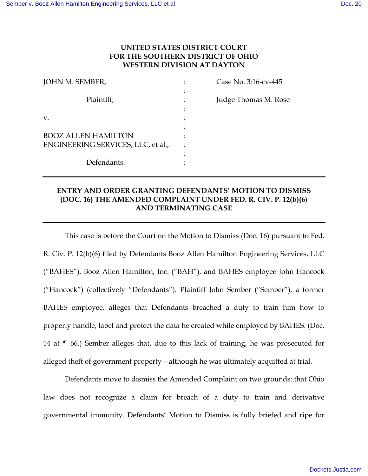# **UNITED STATES DISTRICT COURT FOR THE SOUTHERN DISTRICT OF OHIO WESTERN DIVISION AT DAYTON**

| JOHN M. SEMBER,                                                  | Case No. 3:16-cv-445 |
|------------------------------------------------------------------|----------------------|
| Plaintiff,                                                       | Judge Thomas M. Rose |
| V.                                                               |                      |
| <b>BOOZ ALLEN HAMILTON</b><br>ENGINEERING SERVICES, LLC, et al., |                      |
| Defendants.                                                      |                      |

# **ENTRY AND ORDER GRANTING DEFENDANTS' MOTION TO DISMISS (DOC. 16) THE AMENDED COMPLAINT UNDER FED. R. CIV. P. 12(b)(6) AND TERMINATING CASE**

 This case is before the Court on the Motion to Dismiss (Doc. 16) pursuant to Fed. R. Civ. P. 12(b)(6) filed by Defendants Booz Allen Hamilton Engineering Services, LLC ("BAHES"), Booz Allen Hamilton, Inc. ("BAH"), and BAHES employee John Hancock ("Hancock") (collectively "Defendants"). Plaintiff John Sember ("Sember"), a former BAHES employee, alleges that Defendants breached a duty to train him how to properly handle, label and protect the data he created while employed by BAHES. (Doc. 14 at ¶ 66.) Sember alleges that, due to this lack of training, he was prosecuted for alleged theft of government property—although he was ultimately acquitted at trial.

 Defendants move to dismiss the Amended Complaint on two grounds: that Ohio law does not recognize a claim for breach of a duty to train and derivative governmental immunity. Defendants' Motion to Dismiss is fully briefed and ripe for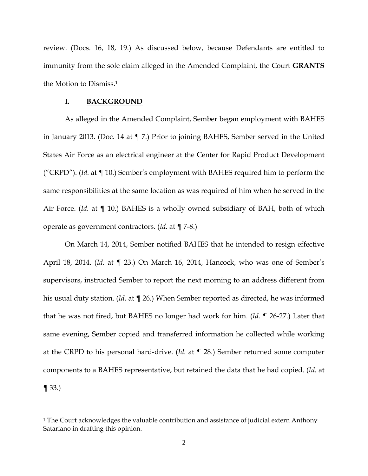review. (Docs. 16, 18, 19.) As discussed below, because Defendants are entitled to immunity from the sole claim alleged in the Amended Complaint, the Court **GRANTS** the Motion to Dismiss.<sup>1</sup>

#### **I. BACKGROUND**

 As alleged in the Amended Complaint, Sember began employment with BAHES in January 2013. (Doc. 14 at ¶ 7.) Prior to joining BAHES, Sember served in the United States Air Force as an electrical engineer at the Center for Rapid Product Development ("CRPD"). (*Id.* at ¶ 10.) Sember's employment with BAHES required him to perform the same responsibilities at the same location as was required of him when he served in the Air Force. (*Id.* at ¶ 10.) BAHES is a wholly owned subsidiary of BAH, both of which operate as government contractors. (*Id.* at ¶ 7-8.)

 On March 14, 2014, Sember notified BAHES that he intended to resign effective April 18, 2014. (*Id.* at ¶ 23.) On March 16, 2014, Hancock, who was one of Sember's supervisors, instructed Sember to report the next morning to an address different from his usual duty station. (*Id.* at ¶ 26.) When Sember reported as directed, he was informed that he was not fired, but BAHES no longer had work for him. (*Id.* ¶ 26-27.) Later that same evening, Sember copied and transferred information he collected while working at the CRPD to his personal hard-drive. (*Id.* at ¶ 28.) Sember returned some computer components to a BAHES representative, but retained the data that he had copied. (*Id.* at  $\P$  33.)

<sup>&</sup>lt;sup>1</sup> The Court acknowledges the valuable contribution and assistance of judicial extern Anthony Satariano in drafting this opinion.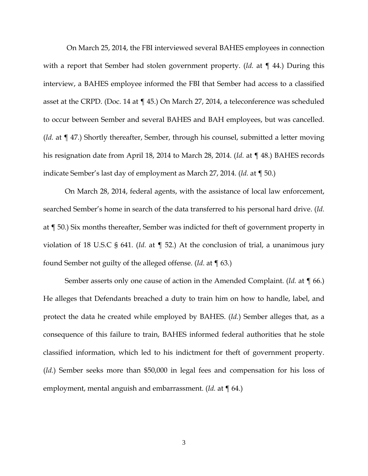On March 25, 2014, the FBI interviewed several BAHES employees in connection with a report that Sember had stolen government property. (*Id.* at ¶ 44.) During this interview, a BAHES employee informed the FBI that Sember had access to a classified asset at the CRPD. (Doc. 14 at ¶ 45.) On March 27, 2014, a teleconference was scheduled to occur between Sember and several BAHES and BAH employees, but was cancelled. (*Id.* at ¶ 47.) Shortly thereafter, Sember, through his counsel, submitted a letter moving his resignation date from April 18, 2014 to March 28, 2014. (*Id.* at ¶ 48.) BAHES records indicate Sember's last day of employment as March 27, 2014. (*Id.* at ¶ 50.)

 On March 28, 2014, federal agents, with the assistance of local law enforcement, searched Sember's home in search of the data transferred to his personal hard drive. (*Id.* at ¶ 50.) Six months thereafter, Sember was indicted for theft of government property in violation of 18 U.S.C § 641. (*Id.* at ¶ 52.) At the conclusion of trial, a unanimous jury found Sember not guilty of the alleged offense. (*Id*. at ¶ 63.)

 Sember asserts only one cause of action in the Amended Complaint. (*Id.* at ¶ 66.) He alleges that Defendants breached a duty to train him on how to handle, label, and protect the data he created while employed by BAHES. (*Id.*) Sember alleges that, as a consequence of this failure to train, BAHES informed federal authorities that he stole classified information, which led to his indictment for theft of government property. (*Id.*) Sember seeks more than \$50,000 in legal fees and compensation for his loss of employment, mental anguish and embarrassment. (*Id.* at ¶ 64.)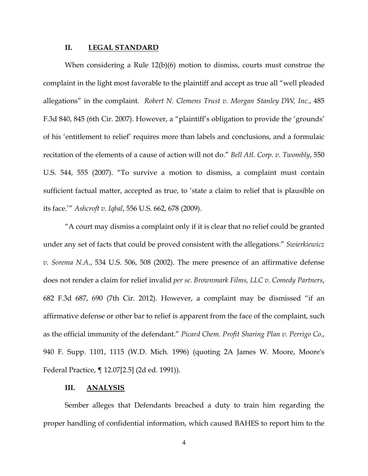#### **II. LEGAL STANDARD**

 When considering a Rule 12(b)(6) motion to dismiss, courts must construe the complaint in the light most favorable to the plaintiff and accept as true all "well pleaded allegations" in the complaint*. Robert N. Clemens Trust v. Morgan Stanley DW, Inc.*, 485 F.3d 840, 845 (6th Cir. 2007). However, a "plaintiff's obligation to provide the 'grounds' of his 'entitlement to relief' requires more than labels and conclusions, and a formulaic recitation of the elements of a cause of action will not do." *Bell Atl. Corp. v. Twombly*, 550 U.S. 544, 555 (2007). "To survive a motion to dismiss, a complaint must contain sufficient factual matter, accepted as true, to 'state a claim to relief that is plausible on its face.'" *Ashcroft v. Iqbal*, 556 U.S. 662, 678 (2009).

 "A court may dismiss a complaint only if it is clear that no relief could be granted under any set of facts that could be proved consistent with the allegations." *Swierkiewicz v. Sorema N.A.*, 534 U.S. 506, 508 (2002). The mere presence of an affirmative defense does not render a claim for relief invalid *per se*. *Brownmark Films, LLC v. Comedy Partners*, 682 F.3d 687, 690 (7th Cir. 2012). However, a complaint may be dismissed "if an affirmative defense or other bar to relief is apparent from the face of the complaint, such as the official immunity of the defendant." *Picard Chem. Profit Sharing Plan v. Perrigo Co.*, 940 F. Supp. 1101, 1115 (W.D. Mich. 1996) (quoting 2A James W. Moore, Moore's Federal Practice, ¶ 12.07[2.5] (2d ed. 1991)).

#### **III. ANALYSIS**

 Sember alleges that Defendants breached a duty to train him regarding the proper handling of confidential information, which caused BAHES to report him to the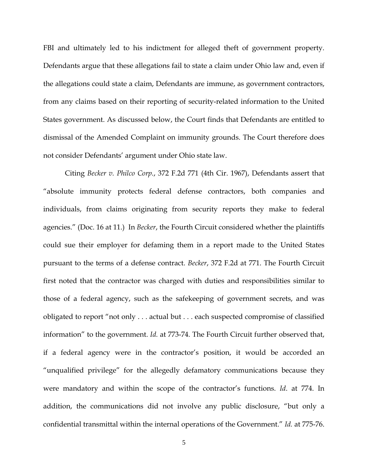FBI and ultimately led to his indictment for alleged theft of government property. Defendants argue that these allegations fail to state a claim under Ohio law and, even if the allegations could state a claim, Defendants are immune, as government contractors, from any claims based on their reporting of security-related information to the United States government. As discussed below, the Court finds that Defendants are entitled to dismissal of the Amended Complaint on immunity grounds. The Court therefore does not consider Defendants' argument under Ohio state law.

Citing *Becker v. Philco Corp.*, 372 F.2d 771 (4th Cir. 1967), Defendants assert that "absolute immunity protects federal defense contractors, both companies and individuals, from claims originating from security reports they make to federal agencies." (Doc. 16 at 11.) In *Becker*, the Fourth Circuit considered whether the plaintiffs could sue their employer for defaming them in a report made to the United States pursuant to the terms of a defense contract. *Becker*, 372 F.2d at 771. The Fourth Circuit first noted that the contractor was charged with duties and responsibilities similar to those of a federal agency, such as the safekeeping of government secrets, and was obligated to report "not only . . . actual but . . . each suspected compromise of classified information" to the government. *Id.* at 773-74. The Fourth Circuit further observed that, if a federal agency were in the contractor's position, it would be accorded an "unqualified privilege" for the allegedly defamatory communications because they were mandatory and within the scope of the contractor's functions. *Id*. at 774. In addition, the communications did not involve any public disclosure, "but only a confidential transmittal within the internal operations of the Government." *Id.* at 775-76.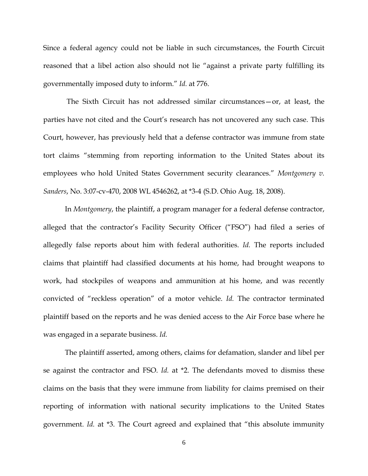Since a federal agency could not be liable in such circumstances, the Fourth Circuit reasoned that a libel action also should not lie "against a private party fulfilling its governmentally imposed duty to inform." *Id.* at 776.

 The Sixth Circuit has not addressed similar circumstances—or, at least, the parties have not cited and the Court's research has not uncovered any such case. This Court, however, has previously held that a defense contractor was immune from state tort claims "stemming from reporting information to the United States about its employees who hold United States Government security clearances." *Montgomery v. Sanders*, No. 3:07-cv-470, 2008 WL 4546262, at \*3-4 (S.D. Ohio Aug. 18, 2008).

In *Montgomery*, the plaintiff, a program manager for a federal defense contractor, alleged that the contractor's Facility Security Officer ("FSO") had filed a series of allegedly false reports about him with federal authorities. *Id.* The reports included claims that plaintiff had classified documents at his home, had brought weapons to work, had stockpiles of weapons and ammunition at his home, and was recently convicted of "reckless operation" of a motor vehicle. *Id.* The contractor terminated plaintiff based on the reports and he was denied access to the Air Force base where he was engaged in a separate business. *Id.*

The plaintiff asserted, among others, claims for defamation, slander and libel per se against the contractor and FSO. *Id.* at \*2. The defendants moved to dismiss these claims on the basis that they were immune from liability for claims premised on their reporting of information with national security implications to the United States government. *Id.* at \*3. The Court agreed and explained that "this absolute immunity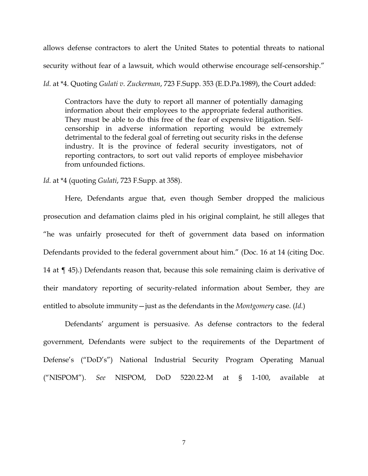allows defense contractors to alert the United States to potential threats to national security without fear of a lawsuit, which would otherwise encourage self-censorship."

*Id.* at \*4. Quoting *Gulati v. Zuckerman*, 723 F.Supp. 353 (E.D.Pa.1989), the Court added:

Contractors have the duty to report all manner of potentially damaging information about their employees to the appropriate federal authorities. They must be able to do this free of the fear of expensive litigation. Selfcensorship in adverse information reporting would be extremely detrimental to the federal goal of ferreting out security risks in the defense industry. It is the province of federal security investigators, not of reporting contractors, to sort out valid reports of employee misbehavior from unfounded fictions.

*Id.* at \*4 (quoting *Gulati*, 723 F.Supp. at 358).

Here, Defendants argue that, even though Sember dropped the malicious prosecution and defamation claims pled in his original complaint, he still alleges that "he was unfairly prosecuted for theft of government data based on information Defendants provided to the federal government about him." (Doc. 16 at 14 (citing Doc. 14 at ¶ 45).) Defendants reason that, because this sole remaining claim is derivative of their mandatory reporting of security-related information about Sember, they are entitled to absolute immunity—just as the defendants in the *Montgomery* case. (*Id.*)

Defendants' argument is persuasive. As defense contractors to the federal government, Defendants were subject to the requirements of the Department of Defense's ("DoD's") National Industrial Security Program Operating Manual ("NISPOM"). *See* NISPOM, DoD 5220.22-M at § 1-100, available at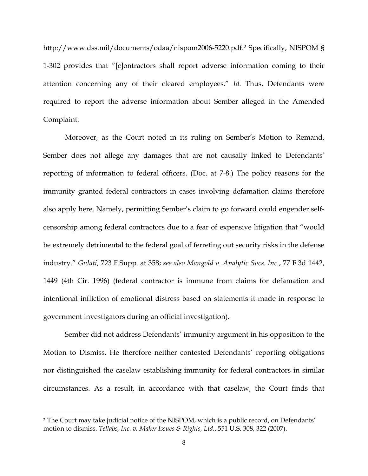http://www.dss.mil/documents/odaa/nispom2006-5220.pdf.<sup>2</sup> Specifically, NISPOM § 1-302 provides that "[c]ontractors shall report adverse information coming to their attention concerning any of their cleared employees." *Id.* Thus, Defendants were required to report the adverse information about Sember alleged in the Amended Complaint.

Moreover, as the Court noted in its ruling on Sember's Motion to Remand, Sember does not allege any damages that are not causally linked to Defendants' reporting of information to federal officers. (Doc. at 7-8.) The policy reasons for the immunity granted federal contractors in cases involving defamation claims therefore also apply here. Namely, permitting Sember's claim to go forward could engender selfcensorship among federal contractors due to a fear of expensive litigation that "would be extremely detrimental to the federal goal of ferreting out security risks in the defense industry." *Gulati*, 723 F.Supp. at 358; *see also Mangold v. Analytic Svcs. Inc.*, 77 F.3d 1442, 1449 (4th Cir. 1996) (federal contractor is immune from claims for defamation and intentional infliction of emotional distress based on statements it made in response to government investigators during an official investigation).

Sember did not address Defendants' immunity argument in his opposition to the Motion to Dismiss. He therefore neither contested Defendants' reporting obligations nor distinguished the caselaw establishing immunity for federal contractors in similar circumstances. As a result, in accordance with that caselaw, the Court finds that

<sup>2</sup> The Court may take judicial notice of the NISPOM, which is a public record, on Defendants' motion to dismiss. *Tellabs, Inc. v. Maker Issues & Rights, Ltd.*, 551 U.S. 308, 322 (2007).